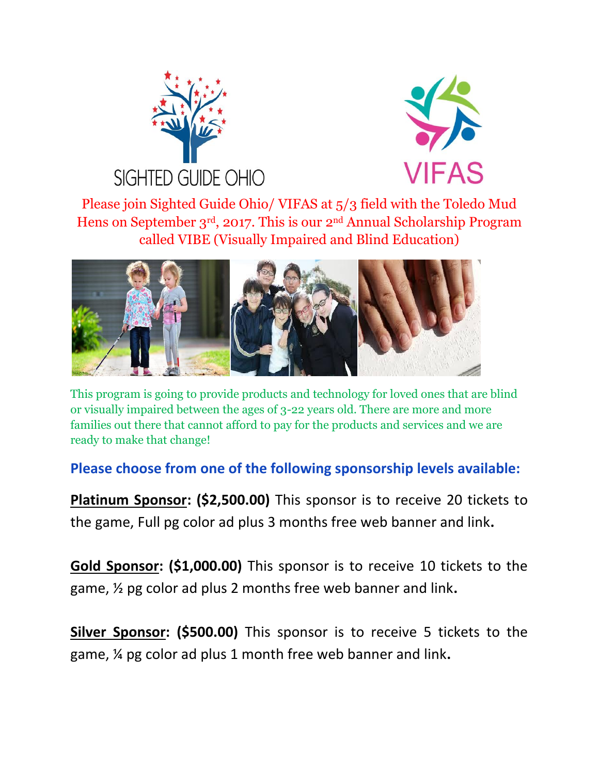



Please join Sighted Guide Ohio/ VIFAS at 5/3 field with the Toledo Mud Hens on September 3rd, 2017. This is our 2nd Annual Scholarship Program called VIBE (Visually Impaired and Blind Education)



This program is going to provide products and technology for loved ones that are blind or visually impaired between the ages of 3-22 years old. There are more and more families out there that cannot afford to pay for the products and services and we are ready to make that change!

**Please choose from one of the following sponsorship levels available:**

**Platinum Sponsor: (\$2,500.00)** This sponsor is to receive 20 tickets to the game, Full pg color ad plus 3 months free web banner and link**.**

**Gold Sponsor: (\$1,000.00)** This sponsor is to receive 10 tickets to the game, ½ pg color ad plus 2 months free web banner and link**.**

**Silver Sponsor: (\$500.00)** This sponsor is to receive 5 tickets to the game, ¼ pg color ad plus 1 month free web banner and link**.**